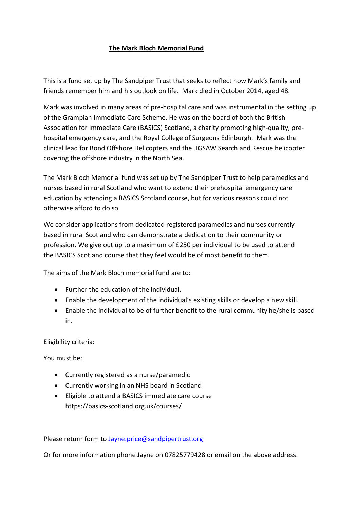## **The Mark Bloch Memorial Fund**

This is a fund set up by The Sandpiper Trust that seeks to reflect how Mark's family and friends remember him and his outlook on life. Mark died in October 2014, aged 48.

Mark was involved in many areas of pre-hospital care and was instrumental in the setting up of the Grampian Immediate Care Scheme. He was on the board of both the British Association for Immediate Care (BASICS) Scotland, a charity promoting high-quality, prehospital emergency care, and the Royal College of Surgeons Edinburgh. Mark was the clinical lead for Bond Offshore Helicopters and the JIGSAW Search and Rescue helicopter covering the offshore industry in the North Sea.

The Mark Bloch Memorial fund was set up by The Sandpiper Trust to help paramedics and nurses based in rural Scotland who want to extend their prehospital emergency care education by attending a BASICS Scotland course, but for various reasons could not otherwise afford to do so.

We consider applications from dedicated registered paramedics and nurses currently based in rural Scotland who can demonstrate a dedication to their community or profession. We give out up to a maximum of £250 per individual to be used to attend the BASICS Scotland course that they feel would be of most benefit to them.

The aims of the Mark Bloch memorial fund are to:

- Further the education of the individual.
- Enable the development of the individual's existing skills or develop a new skill.
- Enable the individual to be of further benefit to the rural community he/she is based in.

Eligibility criteria:

You must be:

- Currently registered as a nurse/paramedic
- Currently working in an NHS board in Scotland
- Eligible to attend a BASICS immediate care course https://basics-scotland.org.uk/courses/

Please return form to [Jayne.price@sandpipertrust.org](mailto:Jayne.price@sandpipertrust.org)

Or for more information phone Jayne on 07825779428 or email on the above address.